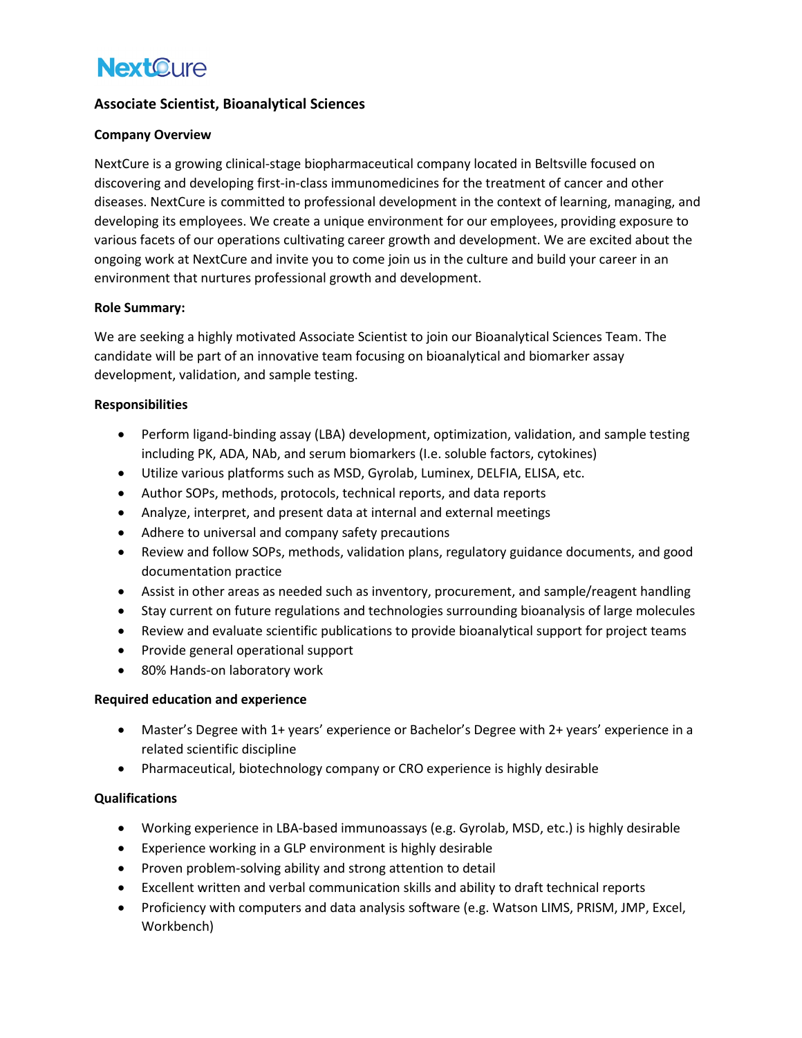# **NextOure**

### **Associate Scientist, Bioanalytical Sciences**

#### **Company Overview**

NextCure is a growing clinical-stage biopharmaceutical company located in Beltsville focused on discovering and developing first-in-class immunomedicines for the treatment of cancer and other diseases. NextCure is committed to professional development in the context of learning, managing, and developing its employees. We create a unique environment for our employees, providing exposure to various facets of our operations cultivating career growth and development. We are excited about the ongoing work at NextCure and invite you to come join us in the culture and build your career in an environment that nurtures professional growth and development.

#### **Role Summary:**

We are seeking a highly motivated Associate Scientist to join our Bioanalytical Sciences Team. The candidate will be part of an innovative team focusing on bioanalytical and biomarker assay development, validation, and sample testing.

### **Responsibilities**

- Perform ligand-binding assay (LBA) development, optimization, validation, and sample testing including PK, ADA, NAb, and serum biomarkers (I.e. soluble factors, cytokines)
- Utilize various platforms such as MSD, Gyrolab, Luminex, DELFIA, ELISA, etc.
- Author SOPs, methods, protocols, technical reports, and data reports
- Analyze, interpret, and present data at internal and external meetings
- Adhere to universal and company safety precautions
- Review and follow SOPs, methods, validation plans, regulatory guidance documents, and good documentation practice
- Assist in other areas as needed such as inventory, procurement, and sample/reagent handling
- Stay current on future regulations and technologies surrounding bioanalysis of large molecules
- Review and evaluate scientific publications to provide bioanalytical support for project teams
- Provide general operational support
- 80% Hands-on laboratory work

### **Required education and experience**

- Master's Degree with 1+ years' experience or Bachelor's Degree with 2+ years' experience in a related scientific discipline
- Pharmaceutical, biotechnology company or CRO experience is highly desirable

### **Qualifications**

- Working experience in LBA-based immunoassays (e.g. Gyrolab, MSD, etc.) is highly desirable
- Experience working in a GLP environment is highly desirable
- Proven problem-solving ability and strong attention to detail
- Excellent written and verbal communication skills and ability to draft technical reports
- Proficiency with computers and data analysis software (e.g. Watson LIMS, PRISM, JMP, Excel, Workbench)